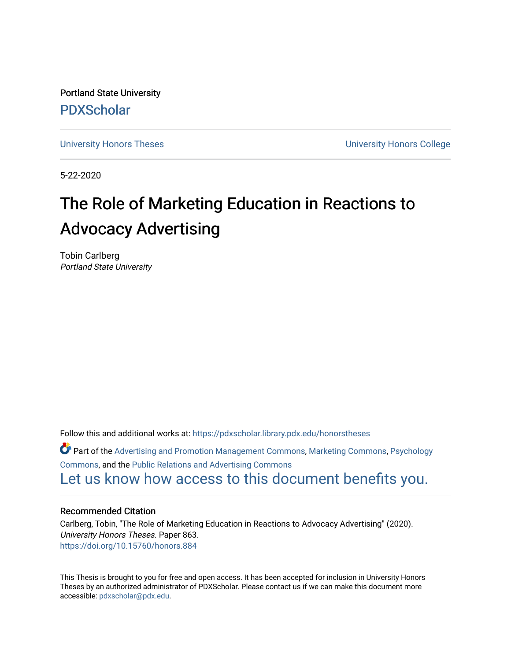Portland State University [PDXScholar](https://pdxscholar.library.pdx.edu/)

[University Honors Theses](https://pdxscholar.library.pdx.edu/honorstheses) **University Honors College** 

5-22-2020

# The Role of Marketing Education in Reactions to Advocacy Advertising

Tobin Carlberg Portland State University

Follow this and additional works at: [https://pdxscholar.library.pdx.edu/honorstheses](https://pdxscholar.library.pdx.edu/honorstheses?utm_source=pdxscholar.library.pdx.edu%2Fhonorstheses%2F863&utm_medium=PDF&utm_campaign=PDFCoverPages) 

Part of the [Advertising and Promotion Management Commons,](http://network.bepress.com/hgg/discipline/626?utm_source=pdxscholar.library.pdx.edu%2Fhonorstheses%2F863&utm_medium=PDF&utm_campaign=PDFCoverPages) [Marketing Commons](http://network.bepress.com/hgg/discipline/638?utm_source=pdxscholar.library.pdx.edu%2Fhonorstheses%2F863&utm_medium=PDF&utm_campaign=PDFCoverPages), [Psychology](http://network.bepress.com/hgg/discipline/404?utm_source=pdxscholar.library.pdx.edu%2Fhonorstheses%2F863&utm_medium=PDF&utm_campaign=PDFCoverPages)  [Commons](http://network.bepress.com/hgg/discipline/404?utm_source=pdxscholar.library.pdx.edu%2Fhonorstheses%2F863&utm_medium=PDF&utm_campaign=PDFCoverPages), and the [Public Relations and Advertising Commons](http://network.bepress.com/hgg/discipline/336?utm_source=pdxscholar.library.pdx.edu%2Fhonorstheses%2F863&utm_medium=PDF&utm_campaign=PDFCoverPages)  [Let us know how access to this document benefits you.](http://library.pdx.edu/services/pdxscholar-services/pdxscholar-feedback/) 

#### Recommended Citation

Carlberg, Tobin, "The Role of Marketing Education in Reactions to Advocacy Advertising" (2020). University Honors Theses. Paper 863. <https://doi.org/10.15760/honors.884>

This Thesis is brought to you for free and open access. It has been accepted for inclusion in University Honors Theses by an authorized administrator of PDXScholar. Please contact us if we can make this document more accessible: [pdxscholar@pdx.edu.](mailto:pdxscholar@pdx.edu)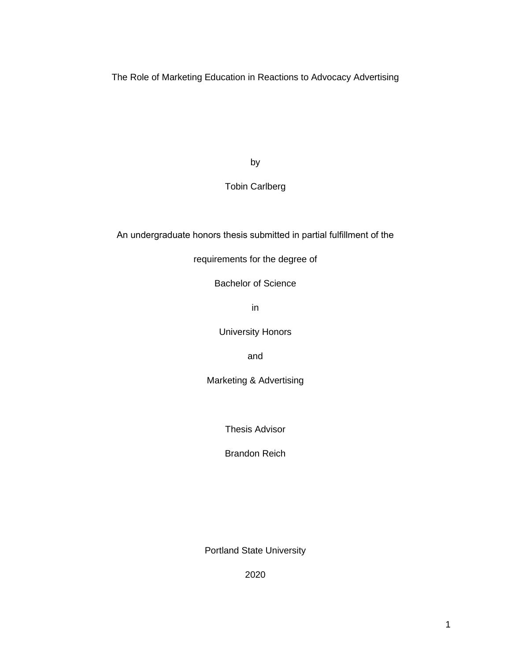The Role of Marketing Education in Reactions to Advocacy Advertising

by

# Tobin Carlberg

An undergraduate honors thesis submitted in partial fulfillment of the

requirements for the degree of

Bachelor of Science

in

University Honors

and

Marketing & Advertising

Thesis Advisor

Brandon Reich

Portland State University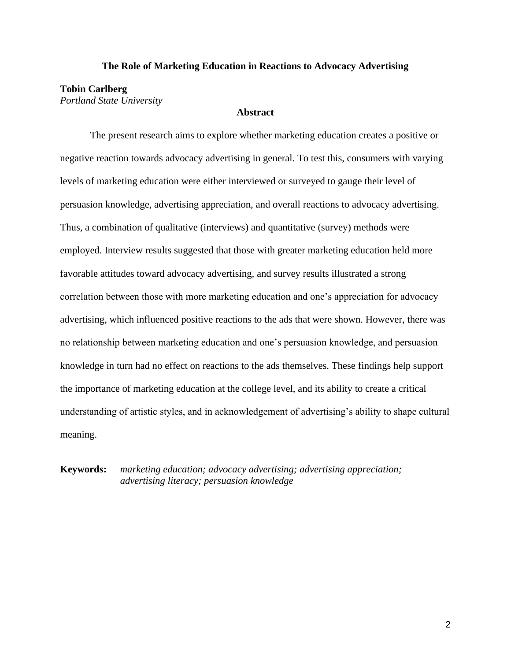#### **The Role of Marketing Education in Reactions to Advocacy Advertising**

## **Tobin Carlberg**

*Portland State University*

## **Abstract**

The present research aims to explore whether marketing education creates a positive or negative reaction towards advocacy advertising in general. To test this, consumers with varying levels of marketing education were either interviewed or surveyed to gauge their level of persuasion knowledge, advertising appreciation, and overall reactions to advocacy advertising. Thus, a combination of qualitative (interviews) and quantitative (survey) methods were employed. Interview results suggested that those with greater marketing education held more favorable attitudes toward advocacy advertising, and survey results illustrated a strong correlation between those with more marketing education and one's appreciation for advocacy advertising, which influenced positive reactions to the ads that were shown. However, there was no relationship between marketing education and one's persuasion knowledge, and persuasion knowledge in turn had no effect on reactions to the ads themselves. These findings help support the importance of marketing education at the college level, and its ability to create a critical understanding of artistic styles, and in acknowledgement of advertising's ability to shape cultural meaning.

**Keywords:** *marketing education; advocacy advertising; advertising appreciation; advertising literacy; persuasion knowledge*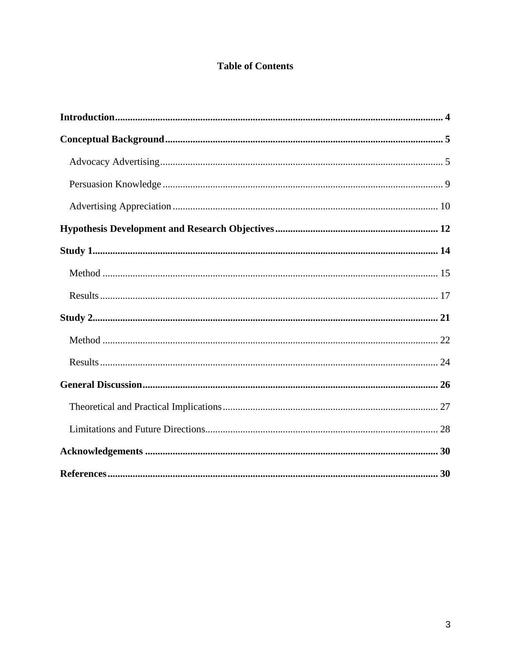# **Table of Contents**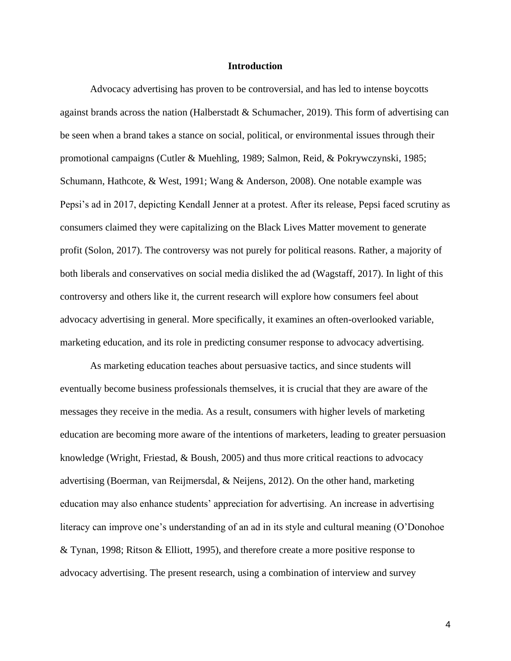#### **Introduction**

<span id="page-4-0"></span>Advocacy advertising has proven to be controversial, and has led to intense boycotts against brands across the nation (Halberstadt & Schumacher, 2019). This form of advertising can be seen when a brand takes a stance on social, political, or environmental issues through their promotional campaigns (Cutler & Muehling, 1989; Salmon, Reid, & Pokrywczynski, 1985; Schumann, Hathcote, & West, 1991; Wang & Anderson, 2008). One notable example was Pepsi's ad in 2017, depicting Kendall Jenner at a protest. After its release, Pepsi faced scrutiny as consumers claimed they were capitalizing on the Black Lives Matter movement to generate profit (Solon, 2017). The controversy was not purely for political reasons. Rather, a majority of both liberals and conservatives on social media disliked the ad (Wagstaff, 2017). In light of this controversy and others like it, the current research will explore how consumers feel about advocacy advertising in general. More specifically, it examines an often-overlooked variable, marketing education, and its role in predicting consumer response to advocacy advertising.

As marketing education teaches about persuasive tactics, and since students will eventually become business professionals themselves, it is crucial that they are aware of the messages they receive in the media. As a result, consumers with higher levels of marketing education are becoming more aware of the intentions of marketers, leading to greater persuasion knowledge (Wright, Friestad, & Boush, 2005) and thus more critical reactions to advocacy advertising (Boerman, van Reijmersdal, & Neijens, 2012). On the other hand, marketing education may also enhance students' appreciation for advertising. An increase in advertising literacy can improve one's understanding of an ad in its style and cultural meaning (O'Donohoe & Tynan, 1998; Ritson & Elliott, 1995), and therefore create a more positive response to advocacy advertising. The present research, using a combination of interview and survey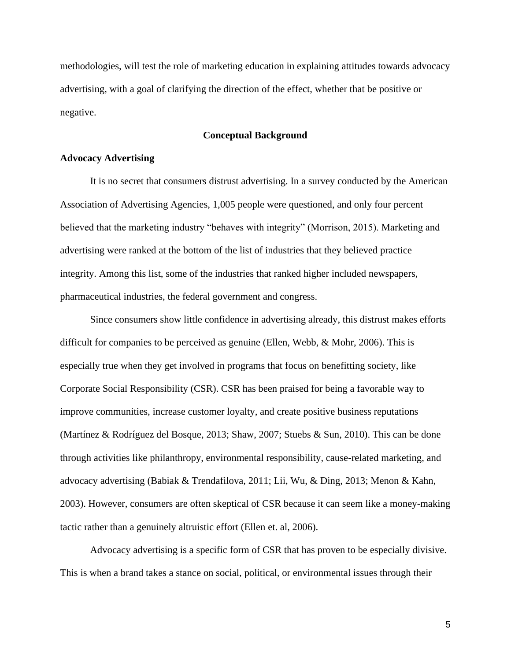methodologies, will test the role of marketing education in explaining attitudes towards advocacy advertising, with a goal of clarifying the direction of the effect, whether that be positive or negative.

### **Conceptual Background**

#### <span id="page-5-1"></span><span id="page-5-0"></span>**Advocacy Advertising**

It is no secret that consumers distrust advertising. In a survey conducted by the American Association of Advertising Agencies, 1,005 people were questioned, and only four percent believed that the marketing industry "behaves with integrity" (Morrison, 2015). Marketing and advertising were ranked at the bottom of the list of industries that they believed practice integrity. Among this list, some of the industries that ranked higher included newspapers, pharmaceutical industries, the federal government and congress.

Since consumers show little confidence in advertising already, this distrust makes efforts difficult for companies to be perceived as genuine (Ellen, Webb, & Mohr, 2006). This is especially true when they get involved in programs that focus on benefitting society, like Corporate Social Responsibility (CSR). CSR has been praised for being a favorable way to improve communities, increase customer loyalty, and create positive business reputations (Martínez & Rodríguez del Bosque, 2013; Shaw, 2007; Stuebs & Sun, 2010). This can be done through activities like philanthropy, environmental responsibility, cause-related marketing, and advocacy advertising (Babiak & Trendafilova, 2011; Lii, Wu, & Ding, 2013; Menon & Kahn, 2003). However, consumers are often skeptical of CSR because it can seem like a money-making tactic rather than a genuinely altruistic effort (Ellen et. al, 2006).

Advocacy advertising is a specific form of CSR that has proven to be especially divisive. This is when a brand takes a stance on social, political, or environmental issues through their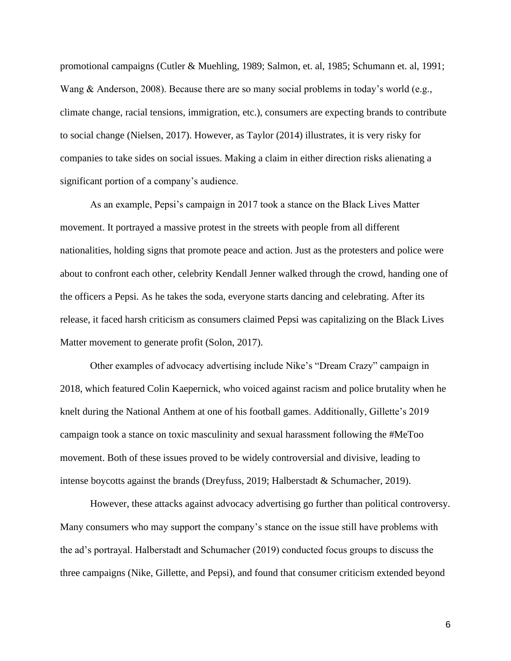promotional campaigns (Cutler & Muehling, 1989; Salmon, et. al, 1985; Schumann et. al, 1991; Wang & Anderson, 2008). Because there are so many social problems in today's world (e.g., climate change, racial tensions, immigration, etc.), consumers are expecting brands to contribute to social change (Nielsen, 2017). However, as Taylor (2014) illustrates, it is very risky for companies to take sides on social issues. Making a claim in either direction risks alienating a significant portion of a company's audience.

As an example, Pepsi's campaign in 2017 took a stance on the Black Lives Matter movement. It portrayed a massive protest in the streets with people from all different nationalities, holding signs that promote peace and action. Just as the protesters and police were about to confront each other, celebrity Kendall Jenner walked through the crowd, handing one of the officers a Pepsi. As he takes the soda, everyone starts dancing and celebrating. After its release, it faced harsh criticism as consumers claimed Pepsi was capitalizing on the Black Lives Matter movement to generate profit (Solon, 2017).

Other examples of advocacy advertising include Nike's "Dream Crazy" campaign in 2018, which featured Colin Kaepernick, who voiced against racism and police brutality when he knelt during the National Anthem at one of his football games. Additionally, Gillette's 2019 campaign took a stance on toxic masculinity and sexual harassment following the #MeToo movement. Both of these issues proved to be widely controversial and divisive, leading to intense boycotts against the brands (Dreyfuss, 2019; Halberstadt & Schumacher, 2019).

However, these attacks against advocacy advertising go further than political controversy. Many consumers who may support the company's stance on the issue still have problems with the ad's portrayal. Halberstadt and Schumacher (2019) conducted focus groups to discuss the three campaigns (Nike, Gillette, and Pepsi), and found that consumer criticism extended beyond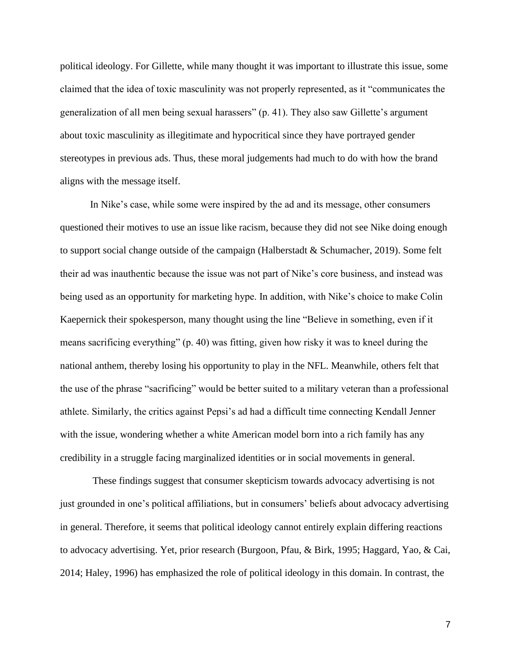political ideology. For Gillette, while many thought it was important to illustrate this issue, some claimed that the idea of toxic masculinity was not properly represented, as it "communicates the generalization of all men being sexual harassers" (p. 41). They also saw Gillette's argument about toxic masculinity as illegitimate and hypocritical since they have portrayed gender stereotypes in previous ads. Thus, these moral judgements had much to do with how the brand aligns with the message itself.

In Nike's case, while some were inspired by the ad and its message, other consumers questioned their motives to use an issue like racism, because they did not see Nike doing enough to support social change outside of the campaign (Halberstadt & Schumacher, 2019). Some felt their ad was inauthentic because the issue was not part of Nike's core business, and instead was being used as an opportunity for marketing hype. In addition, with Nike's choice to make Colin Kaepernick their spokesperson, many thought using the line "Believe in something, even if it means sacrificing everything" (p. 40) was fitting, given how risky it was to kneel during the national anthem, thereby losing his opportunity to play in the NFL. Meanwhile, others felt that the use of the phrase "sacrificing" would be better suited to a military veteran than a professional athlete. Similarly, the critics against Pepsi's ad had a difficult time connecting Kendall Jenner with the issue, wondering whether a white American model born into a rich family has any credibility in a struggle facing marginalized identities or in social movements in general.

These findings suggest that consumer skepticism towards advocacy advertising is not just grounded in one's political affiliations, but in consumers' beliefs about advocacy advertising in general. Therefore, it seems that political ideology cannot entirely explain differing reactions to advocacy advertising. Yet, prior research (Burgoon, Pfau, & Birk, 1995; Haggard, Yao, & Cai, 2014; Haley, 1996) has emphasized the role of political ideology in this domain. In contrast, the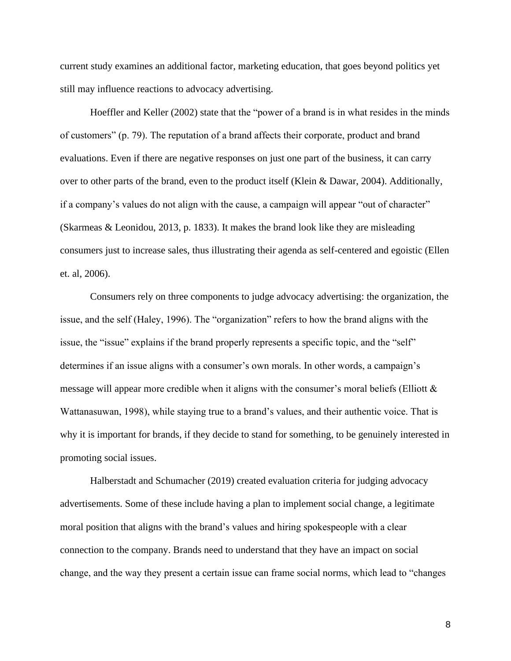current study examines an additional factor, marketing education, that goes beyond politics yet still may influence reactions to advocacy advertising.

Hoeffler and Keller (2002) state that the "power of a brand is in what resides in the minds of customers" (p. 79). The reputation of a brand affects their corporate, product and brand evaluations. Even if there are negative responses on just one part of the business, it can carry over to other parts of the brand, even to the product itself (Klein & Dawar, 2004). Additionally, if a company's values do not align with the cause, a campaign will appear "out of character" (Skarmeas & Leonidou, 2013, p. 1833). It makes the brand look like they are misleading consumers just to increase sales, thus illustrating their agenda as self-centered and egoistic (Ellen et. al, 2006).

Consumers rely on three components to judge advocacy advertising: the organization, the issue, and the self (Haley, 1996). The "organization" refers to how the brand aligns with the issue, the "issue" explains if the brand properly represents a specific topic, and the "self" determines if an issue aligns with a consumer's own morals. In other words, a campaign's message will appear more credible when it aligns with the consumer's moral beliefs (Elliott & Wattanasuwan, 1998), while staying true to a brand's values, and their authentic voice. That is why it is important for brands, if they decide to stand for something, to be genuinely interested in promoting social issues.

Halberstadt and Schumacher (2019) created evaluation criteria for judging advocacy advertisements. Some of these include having a plan to implement social change, a legitimate moral position that aligns with the brand's values and hiring spokespeople with a clear connection to the company. Brands need to understand that they have an impact on social change, and the way they present a certain issue can frame social norms, which lead to "changes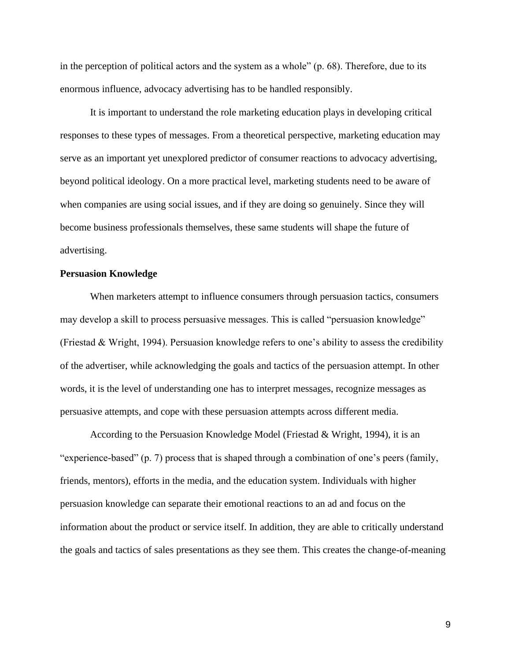in the perception of political actors and the system as a whole" (p. 68). Therefore, due to its enormous influence, advocacy advertising has to be handled responsibly.

It is important to understand the role marketing education plays in developing critical responses to these types of messages. From a theoretical perspective, marketing education may serve as an important yet unexplored predictor of consumer reactions to advocacy advertising, beyond political ideology. On a more practical level, marketing students need to be aware of when companies are using social issues, and if they are doing so genuinely. Since they will become business professionals themselves, these same students will shape the future of advertising.

# <span id="page-9-0"></span>**Persuasion Knowledge**

When marketers attempt to influence consumers through persuasion tactics, consumers may develop a skill to process persuasive messages. This is called "persuasion knowledge" (Friestad & Wright, 1994). Persuasion knowledge refers to one's ability to assess the credibility of the advertiser, while acknowledging the goals and tactics of the persuasion attempt. In other words, it is the level of understanding one has to interpret messages, recognize messages as persuasive attempts, and cope with these persuasion attempts across different media.

According to the Persuasion Knowledge Model (Friestad & Wright, 1994), it is an "experience-based" (p. 7) process that is shaped through a combination of one's peers (family, friends, mentors), efforts in the media, and the education system. Individuals with higher persuasion knowledge can separate their emotional reactions to an ad and focus on the information about the product or service itself. In addition, they are able to critically understand the goals and tactics of sales presentations as they see them. This creates the change-of-meaning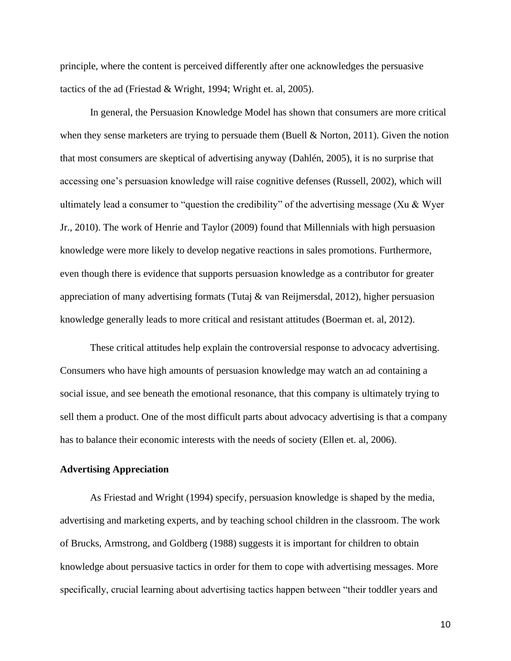principle, where the content is perceived differently after one acknowledges the persuasive tactics of the ad (Friestad & Wright, 1994; Wright et. al, 2005).

In general, the Persuasion Knowledge Model has shown that consumers are more critical when they sense marketers are trying to persuade them (Buell & Norton, 2011). Given the notion that most consumers are skeptical of advertising anyway (Dahlén, 2005), it is no surprise that accessing one's persuasion knowledge will raise cognitive defenses (Russell, 2002), which will ultimately lead a consumer to "question the credibility" of the advertising message (Xu & Wyer Jr., 2010). The work of Henrie and Taylor (2009) found that Millennials with high persuasion knowledge were more likely to develop negative reactions in sales promotions. Furthermore, even though there is evidence that supports persuasion knowledge as a contributor for greater appreciation of many advertising formats (Tutaj & van Reijmersdal, 2012), higher persuasion knowledge generally leads to more critical and resistant attitudes (Boerman et. al, 2012).

These critical attitudes help explain the controversial response to advocacy advertising. Consumers who have high amounts of persuasion knowledge may watch an ad containing a social issue, and see beneath the emotional resonance, that this company is ultimately trying to sell them a product. One of the most difficult parts about advocacy advertising is that a company has to balance their economic interests with the needs of society (Ellen et. al, 2006).

## <span id="page-10-0"></span>**Advertising Appreciation**

As Friestad and Wright (1994) specify, persuasion knowledge is shaped by the media, advertising and marketing experts, and by teaching school children in the classroom. The work of Brucks, Armstrong, and Goldberg (1988) suggests it is important for children to obtain knowledge about persuasive tactics in order for them to cope with advertising messages. More specifically, crucial learning about advertising tactics happen between "their toddler years and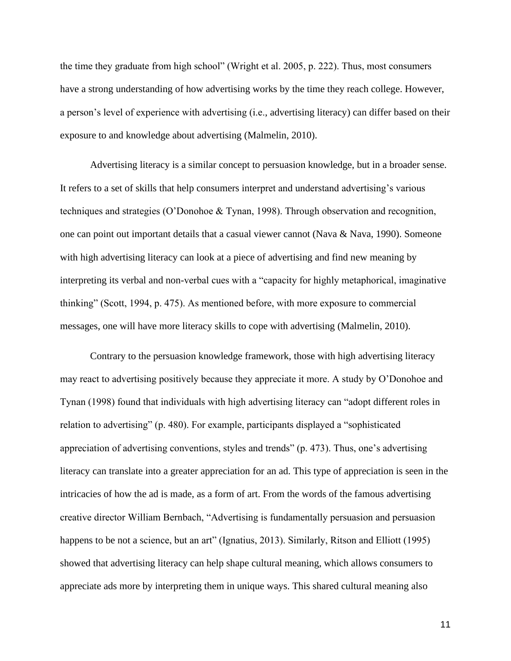the time they graduate from high school" (Wright et al. 2005, p. 222). Thus, most consumers have a strong understanding of how advertising works by the time they reach college. However, a person's level of experience with advertising (i.e., advertising literacy) can differ based on their exposure to and knowledge about advertising (Malmelin, 2010).

Advertising literacy is a similar concept to persuasion knowledge, but in a broader sense. It refers to a set of skills that help consumers interpret and understand advertising's various techniques and strategies (O'Donohoe & Tynan, 1998). Through observation and recognition, one can point out important details that a casual viewer cannot (Nava & Nava, 1990). Someone with high advertising literacy can look at a piece of advertising and find new meaning by interpreting its verbal and non-verbal cues with a "capacity for highly metaphorical, imaginative thinking" (Scott, 1994, p. 475). As mentioned before, with more exposure to commercial messages, one will have more literacy skills to cope with advertising (Malmelin, 2010).

Contrary to the persuasion knowledge framework, those with high advertising literacy may react to advertising positively because they appreciate it more. A study by O'Donohoe and Tynan (1998) found that individuals with high advertising literacy can "adopt different roles in relation to advertising" (p. 480). For example, participants displayed a "sophisticated appreciation of advertising conventions, styles and trends" (p. 473). Thus, one's advertising literacy can translate into a greater appreciation for an ad. This type of appreciation is seen in the intricacies of how the ad is made, as a form of art. From the words of the famous advertising creative director William Bernbach, "Advertising is fundamentally persuasion and persuasion happens to be not a science, but an art" (Ignatius, 2013). Similarly, Ritson and Elliott (1995) showed that advertising literacy can help shape cultural meaning, which allows consumers to appreciate ads more by interpreting them in unique ways. This shared cultural meaning also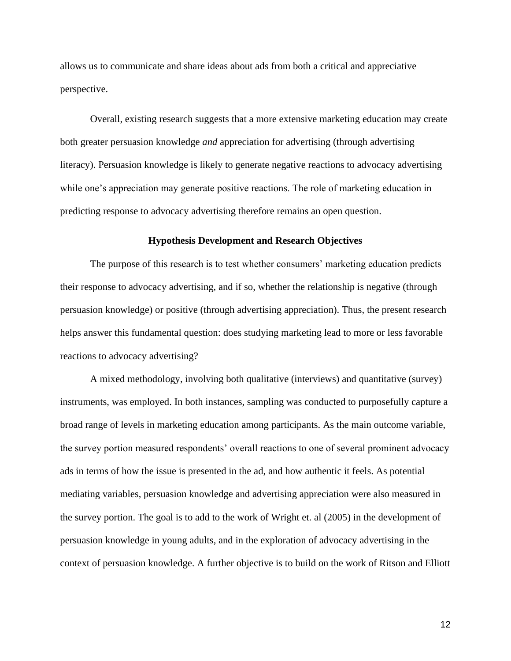allows us to communicate and share ideas about ads from both a critical and appreciative perspective.

Overall, existing research suggests that a more extensive marketing education may create both greater persuasion knowledge *and* appreciation for advertising (through advertising literacy). Persuasion knowledge is likely to generate negative reactions to advocacy advertising while one's appreciation may generate positive reactions. The role of marketing education in predicting response to advocacy advertising therefore remains an open question.

#### **Hypothesis Development and Research Objectives**

<span id="page-12-0"></span>The purpose of this research is to test whether consumers' marketing education predicts their response to advocacy advertising, and if so, whether the relationship is negative (through persuasion knowledge) or positive (through advertising appreciation). Thus, the present research helps answer this fundamental question: does studying marketing lead to more or less favorable reactions to advocacy advertising?

A mixed methodology, involving both qualitative (interviews) and quantitative (survey) instruments, was employed. In both instances, sampling was conducted to purposefully capture a broad range of levels in marketing education among participants. As the main outcome variable, the survey portion measured respondents' overall reactions to one of several prominent advocacy ads in terms of how the issue is presented in the ad, and how authentic it feels. As potential mediating variables, persuasion knowledge and advertising appreciation were also measured in the survey portion. The goal is to add to the work of Wright et. al (2005) in the development of persuasion knowledge in young adults, and in the exploration of advocacy advertising in the context of persuasion knowledge. A further objective is to build on the work of Ritson and Elliott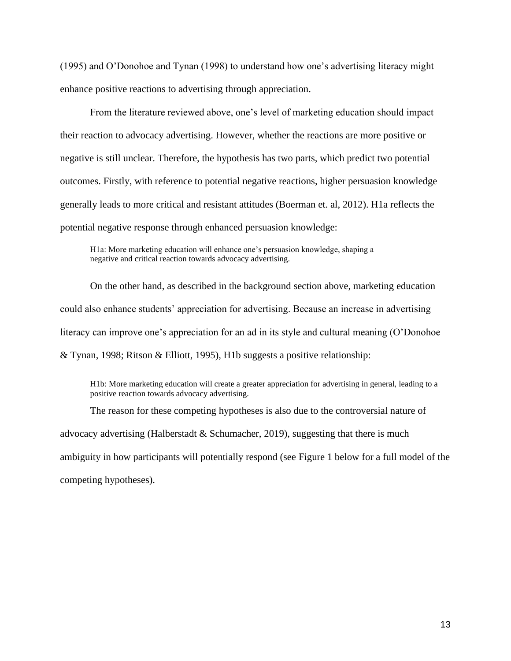(1995) and O'Donohoe and Tynan (1998) to understand how one's advertising literacy might enhance positive reactions to advertising through appreciation.

From the literature reviewed above, one's level of marketing education should impact their reaction to advocacy advertising. However, whether the reactions are more positive or negative is still unclear. Therefore, the hypothesis has two parts, which predict two potential outcomes. Firstly, with reference to potential negative reactions, higher persuasion knowledge generally leads to more critical and resistant attitudes (Boerman et. al, 2012). H1a reflects the potential negative response through enhanced persuasion knowledge:

H1a: More marketing education will enhance one's persuasion knowledge, shaping a negative and critical reaction towards advocacy advertising.

On the other hand, as described in the background section above, marketing education could also enhance students' appreciation for advertising. Because an increase in advertising literacy can improve one's appreciation for an ad in its style and cultural meaning (O'Donohoe & Tynan, 1998; Ritson & Elliott, 1995), H1b suggests a positive relationship:

H1b: More marketing education will create a greater appreciation for advertising in general, leading to a positive reaction towards advocacy advertising.

The reason for these competing hypotheses is also due to the controversial nature of advocacy advertising (Halberstadt & Schumacher, 2019), suggesting that there is much ambiguity in how participants will potentially respond (see Figure 1 below for a full model of the competing hypotheses).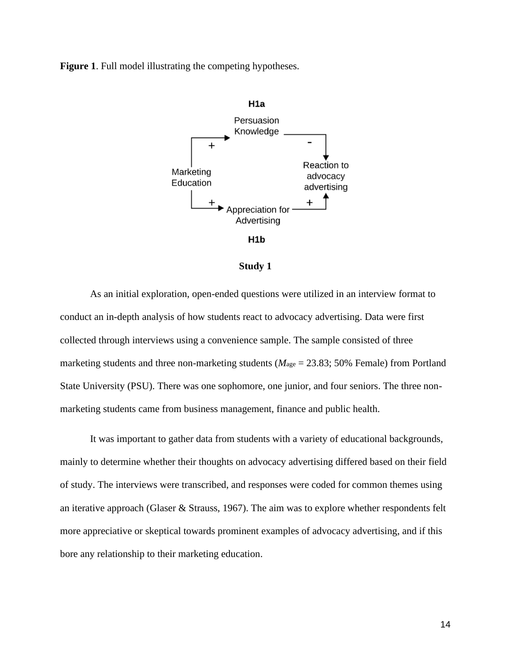**Figure 1**. Full model illustrating the competing hypotheses.







<span id="page-14-0"></span>As an initial exploration, open-ended questions were utilized in an interview format to conduct an in-depth analysis of how students react to advocacy advertising. Data were first collected through interviews using a convenience sample. The sample consisted of three marketing students and three non-marketing students ( $M<sub>age</sub> = 23.83$ ; 50% Female) from Portland State University (PSU). There was one sophomore, one junior, and four seniors. The three nonmarketing students came from business management, finance and public health.

It was important to gather data from students with a variety of educational backgrounds, mainly to determine whether their thoughts on advocacy advertising differed based on their field of study. The interviews were transcribed, and responses were coded for common themes using an iterative approach (Glaser & Strauss, 1967). The aim was to explore whether respondents felt more appreciative or skeptical towards prominent examples of advocacy advertising, and if this bore any relationship to their marketing education.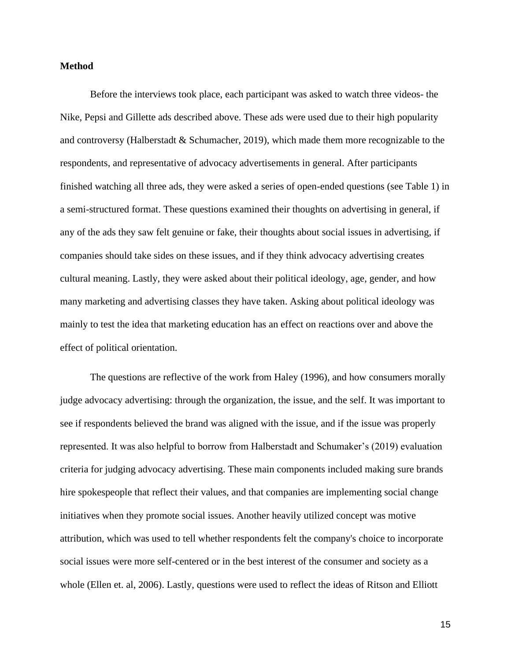#### <span id="page-15-0"></span>**Method**

Before the interviews took place, each participant was asked to watch three videos- the Nike, Pepsi and Gillette ads described above. These ads were used due to their high popularity and controversy (Halberstadt & Schumacher, 2019), which made them more recognizable to the respondents, and representative of advocacy advertisements in general. After participants finished watching all three ads, they were asked a series of open-ended questions (see Table 1) in a semi-structured format. These questions examined their thoughts on advertising in general, if any of the ads they saw felt genuine or fake, their thoughts about social issues in advertising, if companies should take sides on these issues, and if they think advocacy advertising creates cultural meaning. Lastly, they were asked about their political ideology, age, gender, and how many marketing and advertising classes they have taken. Asking about political ideology was mainly to test the idea that marketing education has an effect on reactions over and above the effect of political orientation.

The questions are reflective of the work from Haley (1996), and how consumers morally judge advocacy advertising: through the organization, the issue, and the self. It was important to see if respondents believed the brand was aligned with the issue, and if the issue was properly represented. It was also helpful to borrow from Halberstadt and Schumaker's (2019) evaluation criteria for judging advocacy advertising. These main components included making sure brands hire spokespeople that reflect their values, and that companies are implementing social change initiatives when they promote social issues. Another heavily utilized concept was motive attribution, which was used to tell whether respondents felt the company's choice to incorporate social issues were more self-centered or in the best interest of the consumer and society as a whole (Ellen et. al, 2006). Lastly, questions were used to reflect the ideas of Ritson and Elliott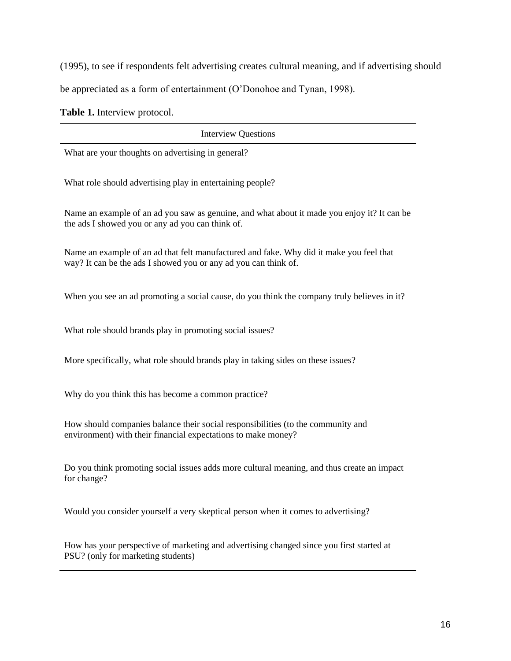(1995), to see if respondents felt advertising creates cultural meaning, and if advertising should

be appreciated as a form of entertainment (O'Donohoe and Tynan, 1998).

**Table 1.** Interview protocol.

Interview Questions What are your thoughts on advertising in general? What role should advertising play in entertaining people? Name an example of an ad you saw as genuine, and what about it made you enjoy it? It can be the ads I showed you or any ad you can think of. Name an example of an ad that felt manufactured and fake. Why did it make you feel that way? It can be the ads I showed you or any ad you can think of. When you see an ad promoting a social cause, do you think the company truly believes in it? What role should brands play in promoting social issues? More specifically, what role should brands play in taking sides on these issues? Why do you think this has become a common practice? How should companies balance their social responsibilities (to the community and environment) with their financial expectations to make money? Do you think promoting social issues adds more cultural meaning, and thus create an impact for change? Would you consider yourself a very skeptical person when it comes to advertising?

How has your perspective of marketing and advertising changed since you first started at PSU? (only for marketing students)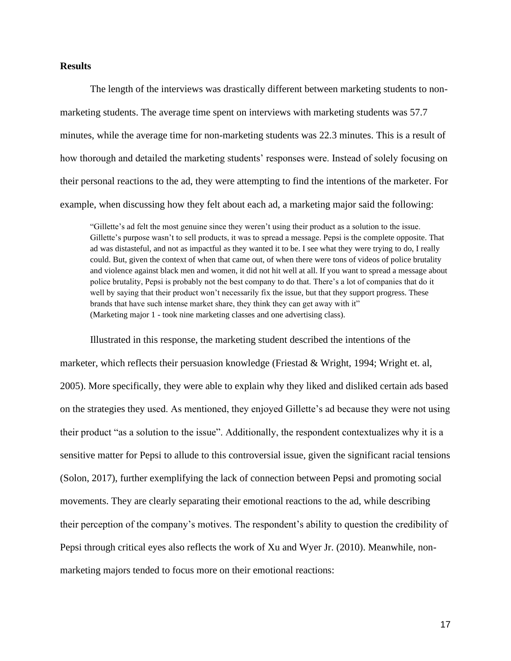# <span id="page-17-0"></span>**Results**

The length of the interviews was drastically different between marketing students to nonmarketing students. The average time spent on interviews with marketing students was 57.7 minutes, while the average time for non-marketing students was 22.3 minutes. This is a result of how thorough and detailed the marketing students' responses were. Instead of solely focusing on their personal reactions to the ad, they were attempting to find the intentions of the marketer. For example, when discussing how they felt about each ad, a marketing major said the following:

"Gillette's ad felt the most genuine since they weren't using their product as a solution to the issue. Gillette's purpose wasn't to sell products, it was to spread a message. Pepsi is the complete opposite. That ad was distasteful, and not as impactful as they wanted it to be. I see what they were trying to do, I really could. But, given the context of when that came out, of when there were tons of videos of police brutality and violence against black men and women, it did not hit well at all. If you want to spread a message about police brutality, Pepsi is probably not the best company to do that. There's a lot of companies that do it well by saying that their product won't necessarily fix the issue, but that they support progress. These brands that have such intense market share, they think they can get away with it" (Marketing major 1 - took nine marketing classes and one advertising class).

Illustrated in this response, the marketing student described the intentions of the marketer, which reflects their persuasion knowledge (Friestad & Wright, 1994; Wright et. al, 2005). More specifically, they were able to explain why they liked and disliked certain ads based on the strategies they used. As mentioned, they enjoyed Gillette's ad because they were not using their product "as a solution to the issue". Additionally, the respondent contextualizes why it is a sensitive matter for Pepsi to allude to this controversial issue, given the significant racial tensions (Solon, 2017), further exemplifying the lack of connection between Pepsi and promoting social movements. They are clearly separating their emotional reactions to the ad, while describing their perception of the company's motives. The respondent's ability to question the credibility of Pepsi through critical eyes also reflects the work of Xu and Wyer Jr. (2010). Meanwhile, nonmarketing majors tended to focus more on their emotional reactions: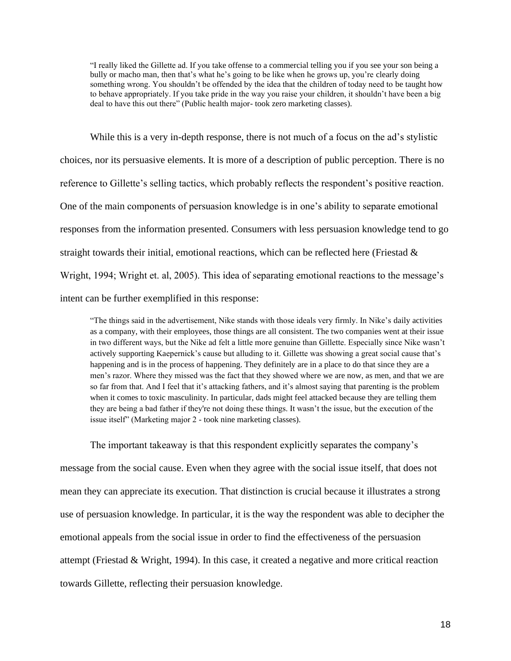"I really liked the Gillette ad. If you take offense to a commercial telling you if you see your son being a bully or macho man, then that's what he's going to be like when he grows up, you're clearly doing something wrong. You shouldn't be offended by the idea that the children of today need to be taught how to behave appropriately. If you take pride in the way you raise your children, it shouldn't have been a big deal to have this out there" (Public health major- took zero marketing classes).

While this is a very in-depth response, there is not much of a focus on the ad's stylistic choices, nor its persuasive elements. It is more of a description of public perception. There is no reference to Gillette's selling tactics, which probably reflects the respondent's positive reaction. One of the main components of persuasion knowledge is in one's ability to separate emotional responses from the information presented. Consumers with less persuasion knowledge tend to go straight towards their initial, emotional reactions, which can be reflected here (Friestad  $\&$ Wright, 1994; Wright et. al, 2005). This idea of separating emotional reactions to the message's intent can be further exemplified in this response:

"The things said in the advertisement, Nike stands with those ideals very firmly. In Nike's daily activities as a company, with their employees, those things are all consistent. The two companies went at their issue in two different ways, but the Nike ad felt a little more genuine than Gillette. Especially since Nike wasn't actively supporting Kaepernick's cause but alluding to it. Gillette was showing a great social cause that's happening and is in the process of happening. They definitely are in a place to do that since they are a men's razor. Where they missed was the fact that they showed where we are now, as men, and that we are so far from that. And I feel that it's attacking fathers, and it's almost saying that parenting is the problem when it comes to toxic masculinity. In particular, dads might feel attacked because they are telling them they are being a bad father if they're not doing these things. It wasn't the issue, but the execution of the issue itself" (Marketing major 2 - took nine marketing classes).

The important takeaway is that this respondent explicitly separates the company's message from the social cause. Even when they agree with the social issue itself, that does not mean they can appreciate its execution. That distinction is crucial because it illustrates a strong use of persuasion knowledge. In particular, it is the way the respondent was able to decipher the emotional appeals from the social issue in order to find the effectiveness of the persuasion attempt (Friestad & Wright, 1994). In this case, it created a negative and more critical reaction towards Gillette, reflecting their persuasion knowledge.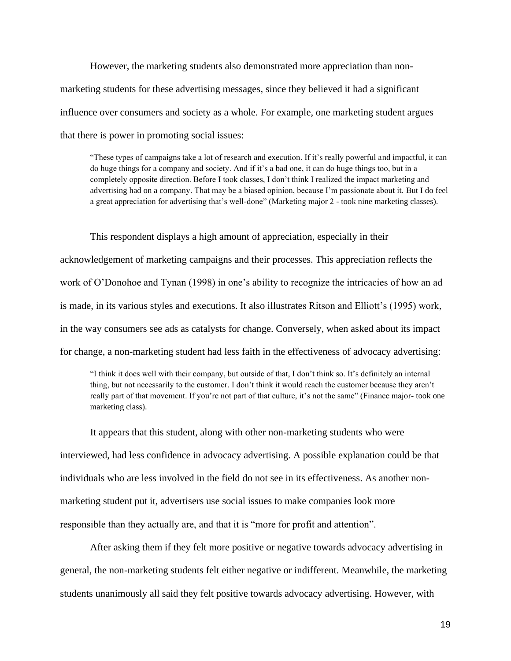However, the marketing students also demonstrated more appreciation than nonmarketing students for these advertising messages, since they believed it had a significant influence over consumers and society as a whole. For example, one marketing student argues that there is power in promoting social issues:

"These types of campaigns take a lot of research and execution. If it's really powerful and impactful, it can do huge things for a company and society. And if it's a bad one, it can do huge things too, but in a completely opposite direction. Before I took classes, I don't think I realized the impact marketing and advertising had on a company. That may be a biased opinion, because I'm passionate about it. But I do feel a great appreciation for advertising that's well-done" (Marketing major 2 - took nine marketing classes).

This respondent displays a high amount of appreciation, especially in their acknowledgement of marketing campaigns and their processes. This appreciation reflects the work of O'Donohoe and Tynan (1998) in one's ability to recognize the intricacies of how an ad is made, in its various styles and executions. It also illustrates Ritson and Elliott's (1995) work, in the way consumers see ads as catalysts for change. Conversely, when asked about its impact for change, a non-marketing student had less faith in the effectiveness of advocacy advertising:

"I think it does well with their company, but outside of that, I don't think so. It's definitely an internal thing, but not necessarily to the customer. I don't think it would reach the customer because they aren't really part of that movement. If you're not part of that culture, it's not the same" (Finance major- took one marketing class).

It appears that this student, along with other non-marketing students who were interviewed, had less confidence in advocacy advertising. A possible explanation could be that individuals who are less involved in the field do not see in its effectiveness. As another nonmarketing student put it, advertisers use social issues to make companies look more responsible than they actually are, and that it is "more for profit and attention".

After asking them if they felt more positive or negative towards advocacy advertising in general, the non-marketing students felt either negative or indifferent. Meanwhile, the marketing students unanimously all said they felt positive towards advocacy advertising. However, with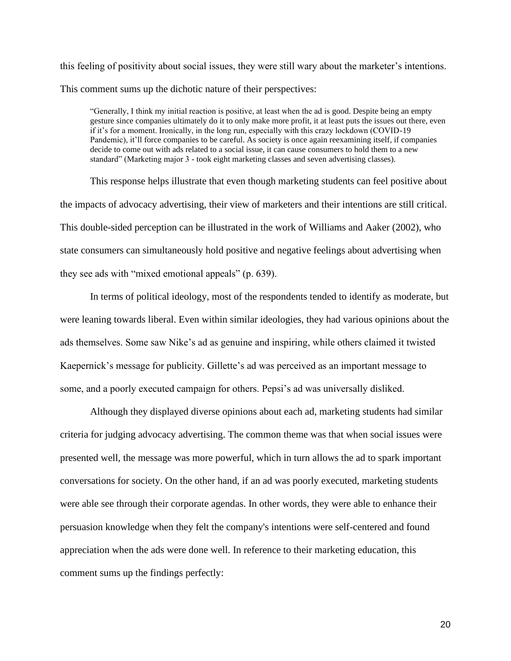this feeling of positivity about social issues, they were still wary about the marketer's intentions. This comment sums up the dichotic nature of their perspectives:

"Generally, I think my initial reaction is positive, at least when the ad is good. Despite being an empty gesture since companies ultimately do it to only make more profit, it at least puts the issues out there, even if it's for a moment. Ironically, in the long run, especially with this crazy lockdown (COVID-19 Pandemic), it'll force companies to be careful. As society is once again reexamining itself, if companies decide to come out with ads related to a social issue, it can cause consumers to hold them to a new standard" (Marketing major 3 - took eight marketing classes and seven advertising classes).

This response helps illustrate that even though marketing students can feel positive about the impacts of advocacy advertising, their view of marketers and their intentions are still critical. This double-sided perception can be illustrated in the work of Williams and Aaker (2002), who state consumers can simultaneously hold positive and negative feelings about advertising when they see ads with "mixed emotional appeals" (p. 639).

In terms of political ideology, most of the respondents tended to identify as moderate, but were leaning towards liberal. Even within similar ideologies, they had various opinions about the ads themselves. Some saw Nike's ad as genuine and inspiring, while others claimed it twisted Kaepernick's message for publicity. Gillette's ad was perceived as an important message to some, and a poorly executed campaign for others. Pepsi's ad was universally disliked.

Although they displayed diverse opinions about each ad, marketing students had similar criteria for judging advocacy advertising. The common theme was that when social issues were presented well, the message was more powerful, which in turn allows the ad to spark important conversations for society. On the other hand, if an ad was poorly executed, marketing students were able see through their corporate agendas. In other words, they were able to enhance their persuasion knowledge when they felt the company's intentions were self-centered and found appreciation when the ads were done well. In reference to their marketing education, this comment sums up the findings perfectly: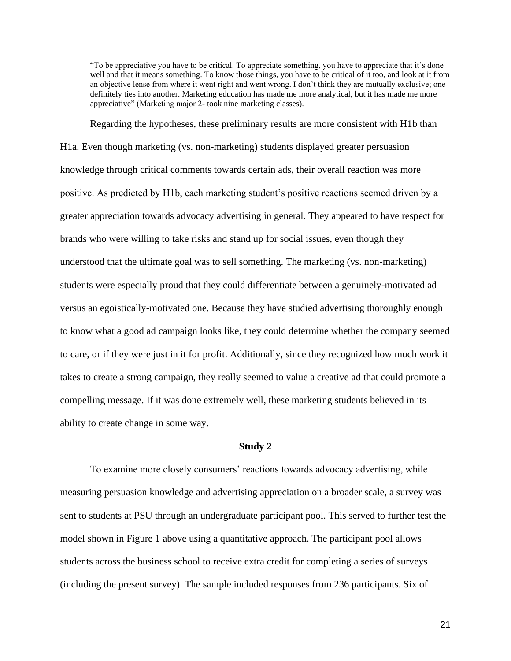"To be appreciative you have to be critical. To appreciate something, you have to appreciate that it's done well and that it means something. To know those things, you have to be critical of it too, and look at it from an objective lense from where it went right and went wrong. I don't think they are mutually exclusive; one definitely ties into another. Marketing education has made me more analytical, but it has made me more appreciative" (Marketing major 2- took nine marketing classes).

Regarding the hypotheses, these preliminary results are more consistent with H1b than H1a. Even though marketing (vs. non-marketing) students displayed greater persuasion knowledge through critical comments towards certain ads, their overall reaction was more positive. As predicted by H1b, each marketing student's positive reactions seemed driven by a greater appreciation towards advocacy advertising in general. They appeared to have respect for brands who were willing to take risks and stand up for social issues, even though they understood that the ultimate goal was to sell something. The marketing (vs. non-marketing) students were especially proud that they could differentiate between a genuinely-motivated ad versus an egoistically-motivated one. Because they have studied advertising thoroughly enough to know what a good ad campaign looks like, they could determine whether the company seemed to care, or if they were just in it for profit. Additionally, since they recognized how much work it takes to create a strong campaign, they really seemed to value a creative ad that could promote a compelling message. If it was done extremely well, these marketing students believed in its ability to create change in some way.

# **Study 2**

<span id="page-21-0"></span>To examine more closely consumers' reactions towards advocacy advertising, while measuring persuasion knowledge and advertising appreciation on a broader scale, a survey was sent to students at PSU through an undergraduate participant pool. This served to further test the model shown in Figure 1 above using a quantitative approach. The participant pool allows students across the business school to receive extra credit for completing a series of surveys (including the present survey). The sample included responses from 236 participants. Six of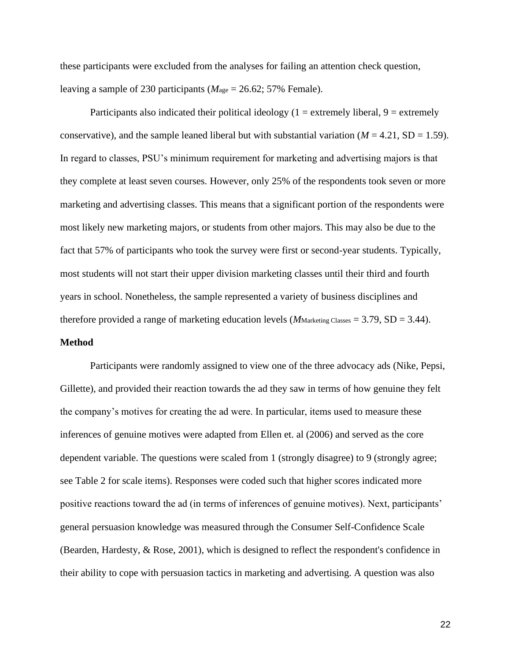these participants were excluded from the analyses for failing an attention check question, leaving a sample of 230 participants (*M*age = 26.62; 57% Female).

Participants also indicated their political ideology  $(1 =$  extremely liberal,  $9 =$  extremely conservative), and the sample leaned liberal but with substantial variation ( $M = 4.21$ , SD = 1.59). In regard to classes, PSU's minimum requirement for marketing and advertising majors is that they complete at least seven courses. However, only 25% of the respondents took seven or more marketing and advertising classes. This means that a significant portion of the respondents were most likely new marketing majors, or students from other majors. This may also be due to the fact that 57% of participants who took the survey were first or second-year students. Typically, most students will not start their upper division marketing classes until their third and fourth years in school. Nonetheless, the sample represented a variety of business disciplines and therefore provided a range of marketing education levels ( $M$ Marketing Classes = 3.79, SD = 3.44).

# <span id="page-22-0"></span>**Method**

Participants were randomly assigned to view one of the three advocacy ads (Nike, Pepsi, Gillette), and provided their reaction towards the ad they saw in terms of how genuine they felt the company's motives for creating the ad were. In particular, items used to measure these inferences of genuine motives were adapted from Ellen et. al (2006) and served as the core dependent variable. The questions were scaled from 1 (strongly disagree) to 9 (strongly agree; see Table 2 for scale items). Responses were coded such that higher scores indicated more positive reactions toward the ad (in terms of inferences of genuine motives). Next, participants' general persuasion knowledge was measured through the Consumer Self-Confidence Scale (Bearden, Hardesty, & Rose, 2001), which is designed to reflect the respondent's confidence in their ability to cope with persuasion tactics in marketing and advertising. A question was also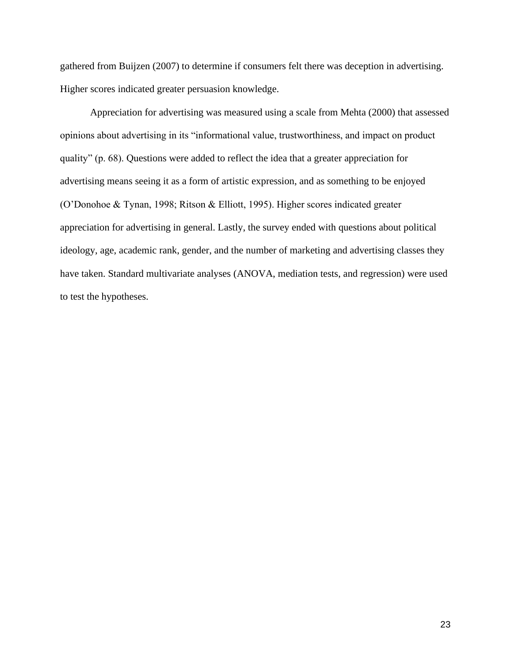gathered from Buijzen (2007) to determine if consumers felt there was deception in advertising. Higher scores indicated greater persuasion knowledge.

Appreciation for advertising was measured using a scale from Mehta (2000) that assessed opinions about advertising in its "informational value, trustworthiness, and impact on product quality" (p. 68). Questions were added to reflect the idea that a greater appreciation for advertising means seeing it as a form of artistic expression, and as something to be enjoyed (O'Donohoe & Tynan, 1998; Ritson & Elliott, 1995). Higher scores indicated greater appreciation for advertising in general. Lastly, the survey ended with questions about political ideology, age, academic rank, gender, and the number of marketing and advertising classes they have taken. Standard multivariate analyses (ANOVA, mediation tests, and regression) were used to test the hypotheses.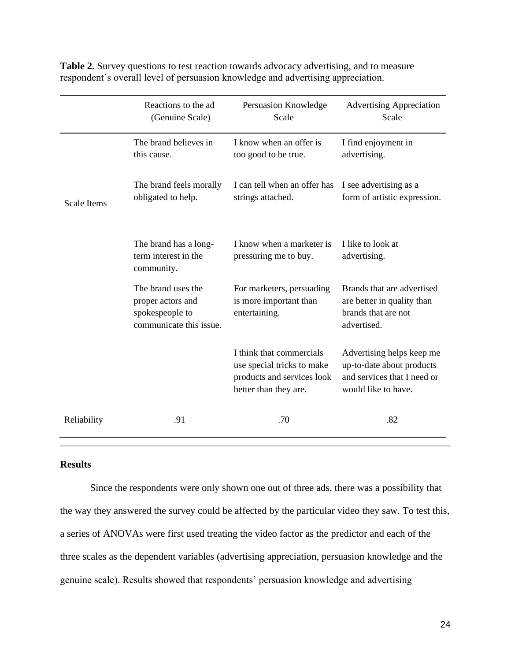|                    | Reactions to the ad<br>(Genuine Scale)                                                | Persuasion Knowledge<br>Scale                                                                                 | <b>Advertising Appreciation</b><br>Scale                                                                     |
|--------------------|---------------------------------------------------------------------------------------|---------------------------------------------------------------------------------------------------------------|--------------------------------------------------------------------------------------------------------------|
|                    | The brand believes in<br>this cause.                                                  | I know when an offer is<br>too good to be true.                                                               | I find enjoyment in<br>advertising.                                                                          |
| <b>Scale Items</b> | The brand feels morally<br>obligated to help.                                         | I can tell when an offer has<br>strings attached.                                                             | I see advertising as a<br>form of artistic expression.                                                       |
|                    | The brand has a long-<br>term interest in the<br>community.                           | I know when a marketer is<br>pressuring me to buy.                                                            | I like to look at<br>advertising.                                                                            |
|                    | The brand uses the<br>proper actors and<br>spokespeople to<br>communicate this issue. | For marketers, persuading<br>is more important than<br>entertaining.                                          | Brands that are advertised<br>are better in quality than<br>brands that are not<br>advertised.               |
|                    |                                                                                       | I think that commercials<br>use special tricks to make<br>products and services look<br>better than they are. | Advertising helps keep me<br>up-to-date about products<br>and services that I need or<br>would like to have. |
| Reliability        | .91                                                                                   | .70                                                                                                           | .82                                                                                                          |

**Table 2.** Survey questions to test reaction towards advocacy advertising, and to measure respondent's overall level of persuasion knowledge and advertising appreciation.

# <span id="page-24-0"></span>**Results**

Since the respondents were only shown one out of three ads, there was a possibility that the way they answered the survey could be affected by the particular video they saw. To test this, a series of ANOVAs were first used treating the video factor as the predictor and each of the three scales as the dependent variables (advertising appreciation, persuasion knowledge and the genuine scale). Results showed that respondents' persuasion knowledge and advertising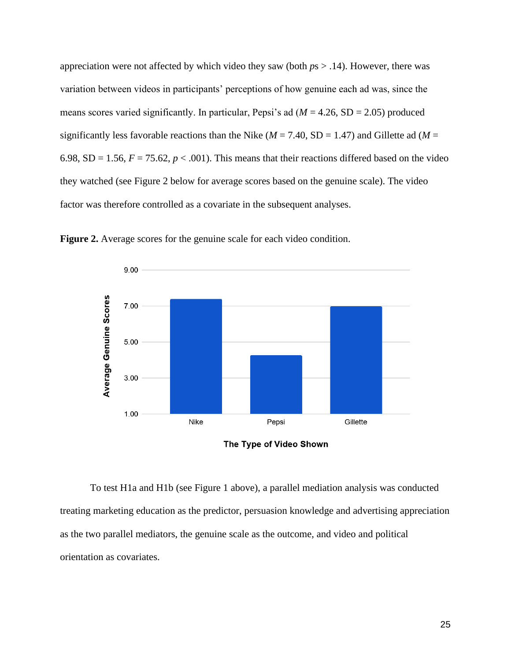appreciation were not affected by which video they saw (both *p*s > .14). However, there was variation between videos in participants' perceptions of how genuine each ad was, since the means scores varied significantly. In particular, Pepsi's ad (*M* = 4.26, SD = 2.05) produced significantly less favorable reactions than the Nike ( $M = 7.40$ , SD = 1.47) and Gillette ad ( $M =$ 6.98, SD = 1.56,  $F = 75.62$ ,  $p < .001$ ). This means that their reactions differed based on the video they watched (see Figure 2 below for average scores based on the genuine scale). The video factor was therefore controlled as a covariate in the subsequent analyses.



**Figure 2.** Average scores for the genuine scale for each video condition.

The Type of Video Shown

To test H1a and H1b (see Figure 1 above), a parallel mediation analysis was conducted treating marketing education as the predictor, persuasion knowledge and advertising appreciation as the two parallel mediators, the genuine scale as the outcome, and video and political orientation as covariates.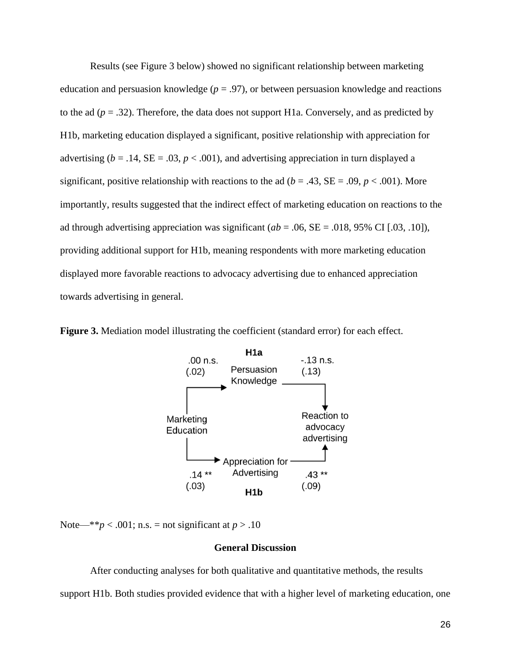Results (see Figure 3 below) showed no significant relationship between marketing education and persuasion knowledge ( $p = .97$ ), or between persuasion knowledge and reactions to the ad  $(p=.32)$ . Therefore, the data does not support H1a. Conversely, and as predicted by H1b, marketing education displayed a significant, positive relationship with appreciation for advertising ( $b = .14$ ,  $SE = .03$ ,  $p < .001$ ), and advertising appreciation in turn displayed a significant, positive relationship with reactions to the ad ( $b = .43$ , SE = .09,  $p < .001$ ). More importantly, results suggested that the indirect effect of marketing education on reactions to the ad through advertising appreciation was significant ( $ab = .06$ ,  $SE = .018$ , 95% CI [.03, .10]), providing additional support for H1b, meaning respondents with more marketing education displayed more favorable reactions to advocacy advertising due to enhanced appreciation towards advertising in general.





<span id="page-26-0"></span>Note—\*\**p* < .001; n.s. = not significant at  $p > .10$ 

# **General Discussion**

After conducting analyses for both qualitative and quantitative methods, the results support H1b. Both studies provided evidence that with a higher level of marketing education, one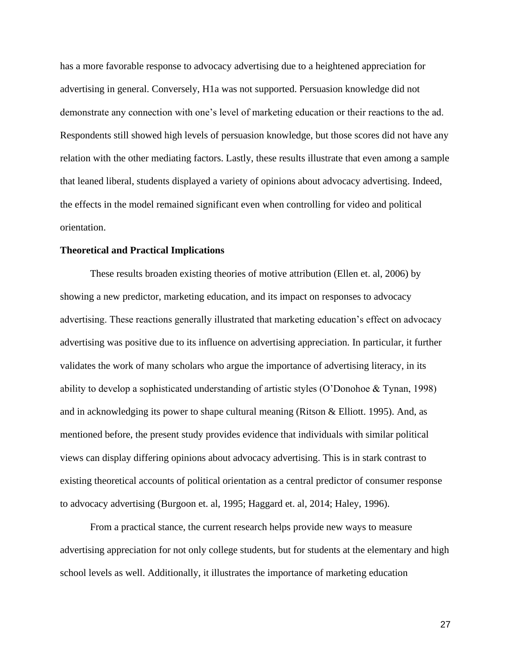has a more favorable response to advocacy advertising due to a heightened appreciation for advertising in general. Conversely, H1a was not supported. Persuasion knowledge did not demonstrate any connection with one's level of marketing education or their reactions to the ad. Respondents still showed high levels of persuasion knowledge, but those scores did not have any relation with the other mediating factors. Lastly, these results illustrate that even among a sample that leaned liberal, students displayed a variety of opinions about advocacy advertising. Indeed, the effects in the model remained significant even when controlling for video and political orientation.

#### <span id="page-27-0"></span>**Theoretical and Practical Implications**

These results broaden existing theories of motive attribution (Ellen et. al, 2006) by showing a new predictor, marketing education, and its impact on responses to advocacy advertising. These reactions generally illustrated that marketing education's effect on advocacy advertising was positive due to its influence on advertising appreciation. In particular, it further validates the work of many scholars who argue the importance of advertising literacy, in its ability to develop a sophisticated understanding of artistic styles (O'Donohoe & Tynan, 1998) and in acknowledging its power to shape cultural meaning (Ritson  $\&$  Elliott. 1995). And, as mentioned before, the present study provides evidence that individuals with similar political views can display differing opinions about advocacy advertising. This is in stark contrast to existing theoretical accounts of political orientation as a central predictor of consumer response to advocacy advertising (Burgoon et. al, 1995; Haggard et. al, 2014; Haley, 1996).

From a practical stance, the current research helps provide new ways to measure advertising appreciation for not only college students, but for students at the elementary and high school levels as well. Additionally, it illustrates the importance of marketing education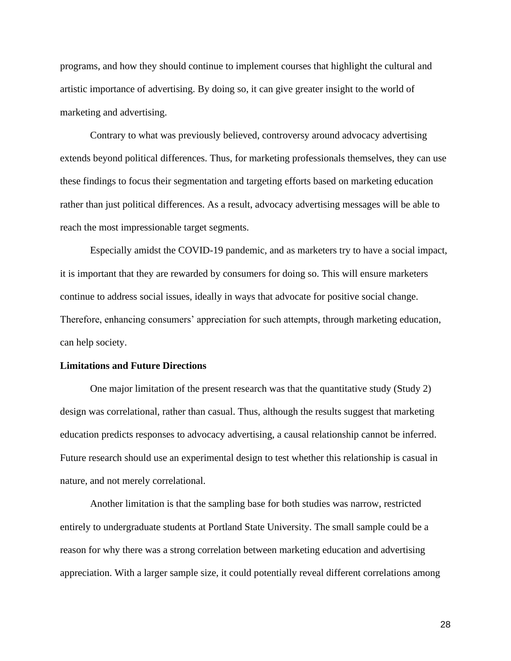programs, and how they should continue to implement courses that highlight the cultural and artistic importance of advertising. By doing so, it can give greater insight to the world of marketing and advertising.

Contrary to what was previously believed, controversy around advocacy advertising extends beyond political differences. Thus, for marketing professionals themselves, they can use these findings to focus their segmentation and targeting efforts based on marketing education rather than just political differences. As a result, advocacy advertising messages will be able to reach the most impressionable target segments.

Especially amidst the COVID-19 pandemic, and as marketers try to have a social impact, it is important that they are rewarded by consumers for doing so. This will ensure marketers continue to address social issues, ideally in ways that advocate for positive social change. Therefore, enhancing consumers' appreciation for such attempts, through marketing education, can help society.

#### <span id="page-28-0"></span>**Limitations and Future Directions**

One major limitation of the present research was that the quantitative study (Study 2) design was correlational, rather than casual. Thus, although the results suggest that marketing education predicts responses to advocacy advertising, a causal relationship cannot be inferred. Future research should use an experimental design to test whether this relationship is casual in nature, and not merely correlational.

Another limitation is that the sampling base for both studies was narrow, restricted entirely to undergraduate students at Portland State University. The small sample could be a reason for why there was a strong correlation between marketing education and advertising appreciation. With a larger sample size, it could potentially reveal different correlations among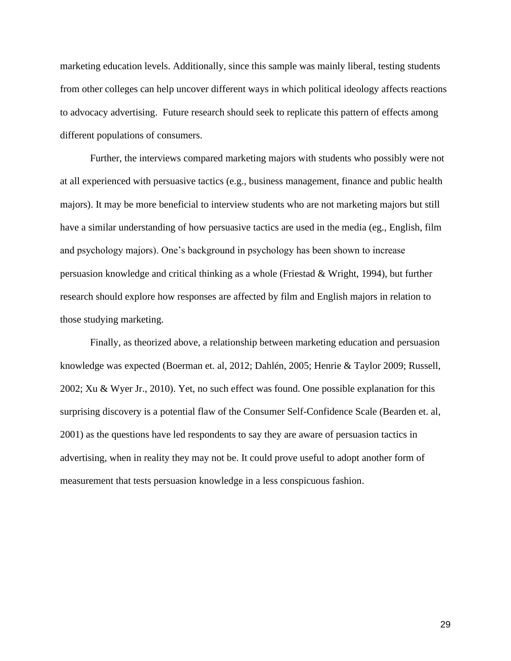marketing education levels. Additionally, since this sample was mainly liberal, testing students from other colleges can help uncover different ways in which political ideology affects reactions to advocacy advertising. Future research should seek to replicate this pattern of effects among different populations of consumers.

Further, the interviews compared marketing majors with students who possibly were not at all experienced with persuasive tactics (e.g., business management, finance and public health majors). It may be more beneficial to interview students who are not marketing majors but still have a similar understanding of how persuasive tactics are used in the media (eg., English, film and psychology majors). One's background in psychology has been shown to increase persuasion knowledge and critical thinking as a whole (Friestad & Wright, 1994), but further research should explore how responses are affected by film and English majors in relation to those studying marketing.

Finally, as theorized above, a relationship between marketing education and persuasion knowledge was expected (Boerman et. al, 2012; Dahlén, 2005; Henrie & Taylor 2009; Russell, 2002; Xu & Wyer Jr., 2010). Yet, no such effect was found. One possible explanation for this surprising discovery is a potential flaw of the Consumer Self-Confidence Scale (Bearden et. al, 2001) as the questions have led respondents to say they are aware of persuasion tactics in advertising, when in reality they may not be. It could prove useful to adopt another form of measurement that tests persuasion knowledge in a less conspicuous fashion.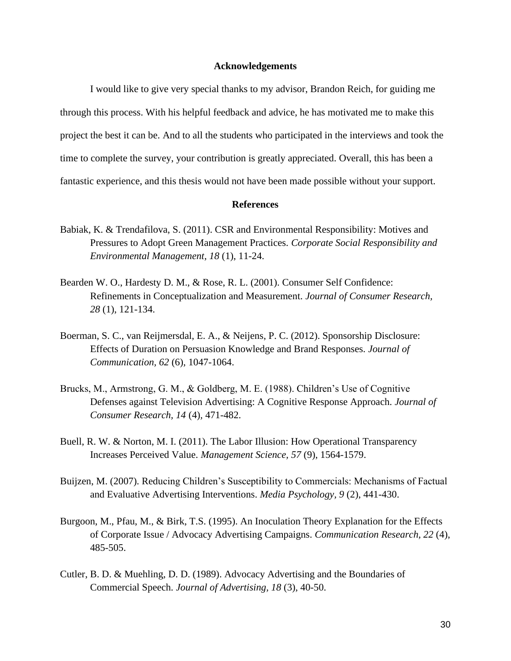#### **Acknowledgements**

<span id="page-30-0"></span>I would like to give very special thanks to my advisor, Brandon Reich, for guiding me through this process. With his helpful feedback and advice, he has motivated me to make this project the best it can be. And to all the students who participated in the interviews and took the time to complete the survey, your contribution is greatly appreciated. Overall, this has been a fantastic experience, and this thesis would not have been made possible without your support.

#### **References**

- <span id="page-30-1"></span>Babiak, K. & Trendafilova, S. (2011). CSR and Environmental Responsibility: Motives and Pressures to Adopt Green Management Practices. *Corporate Social Responsibility and Environmental Management, 18* (1), 11-24.
- Bearden W. O., Hardesty D. M., & Rose, R. L. (2001). Consumer Self Confidence: Refinements in Conceptualization and Measurement. *Journal of Consumer Research, 28* (1), 121-134.
- Boerman, S. C., van Reijmersdal, E. A., & Neijens, P. C. (2012). Sponsorship Disclosure: Effects of Duration on Persuasion Knowledge and Brand Responses. *Journal of Communication, 62* (6)*,* 1047-1064.
- Brucks, M., Armstrong, G. M., & Goldberg, M. E. (1988). Children's Use of Cognitive Defenses against Television Advertising: A Cognitive Response Approach. *Journal of Consumer Research, 14* (4)*,* 471-482.
- Buell, R. W. & Norton, M. I. (2011). The Labor Illusion: How Operational Transparency Increases Perceived Value. *Management Science, 57* (9)*,* 1564-1579.
- Buijzen, M. (2007). Reducing Children's Susceptibility to Commercials: Mechanisms of Factual and Evaluative Advertising Interventions. *Media Psychology, 9* (2), 441-430.
- Burgoon, M., Pfau, M., & Birk, T.S. (1995). An Inoculation Theory Explanation for the Effects of Corporate Issue / Advocacy Advertising Campaigns. *Communication Research, 22* (4), 485-505.
- Cutler, B. D. & Muehling, D. D. (1989). Advocacy Advertising and the Boundaries of Commercial Speech. *Journal of Advertising, 18* (3)*,* 40-50.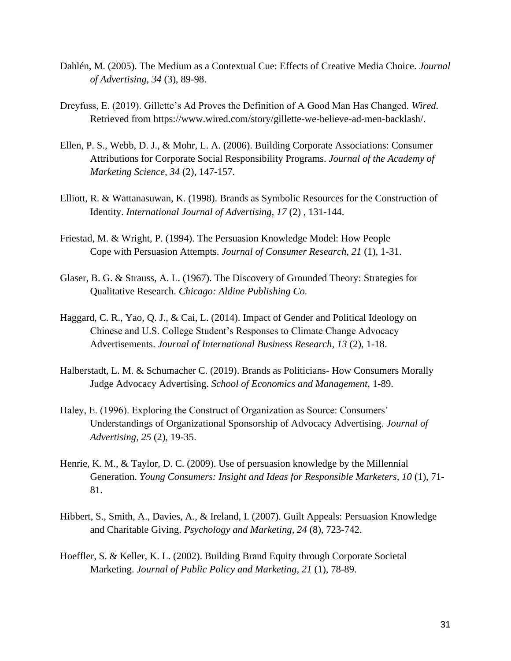- Dahlén, M. (2005). The Medium as a Contextual Cue: Effects of Creative Media Choice. *Journal of Advertising, 34* (3), 89-98.
- Dreyfuss, E. (2019). Gillette's Ad Proves the Definition of A Good Man Has Changed. *Wired*. Retrieved from https://www.wired.com/story/gillette-we-believe-ad-men-backlash/.
- Ellen, P. S., Webb, D. J., & Mohr, L. A. (2006). Building Corporate Associations: Consumer Attributions for Corporate Social Responsibility Programs. *Journal of the Academy of Marketing Science, 34* (2), 147-157.
- Elliott, R. & Wattanasuwan, K. (1998). Brands as Symbolic Resources for the Construction of Identity. *International Journal of Advertising, 17* (2) , 131-144.
- Friestad, M. & Wright, P. (1994). The Persuasion Knowledge Model: How People Cope with Persuasion Attempts. *Journal of Consumer Research, 21* (1), 1-31.
- Glaser, B. G. & Strauss, A. L. (1967). The Discovery of Grounded Theory: Strategies for Qualitative Research. *Chicago: Aldine Publishing Co.*
- Haggard, C. R., Yao, Q. J., & Cai, L. (2014). Impact of Gender and Political Ideology on Chinese and U.S. College Student's Responses to Climate Change Advocacy Advertisements. *Journal of International Business Research, 13* (2), 1-18.
- Halberstadt, L. M. & Schumacher C. (2019). Brands as Politicians- How Consumers Morally Judge Advocacy Advertising. *School of Economics and Management*, 1-89.
- Haley, E. (1996). Exploring the Construct of Organization as Source: Consumers' Understandings of Organizational Sponsorship of Advocacy Advertising. *Journal of Advertising, 25* (2), 19-35.
- Henrie, K. M., & Taylor, D. C. (2009). Use of persuasion knowledge by the Millennial Generation. *Young Consumers: Insight and Ideas for Responsible Marketers, 10* (1), 71- 81.
- Hibbert, S., Smith, A., Davies, A., & Ireland, I. (2007). Guilt Appeals: Persuasion Knowledge and Charitable Giving. *Psychology and Marketing, 24* (8), 723-742.
- Hoeffler, S. & Keller, K. L. (2002). Building Brand Equity through Corporate Societal Marketing. *Journal of Public Policy and Marketing, 21* (1), 78-89.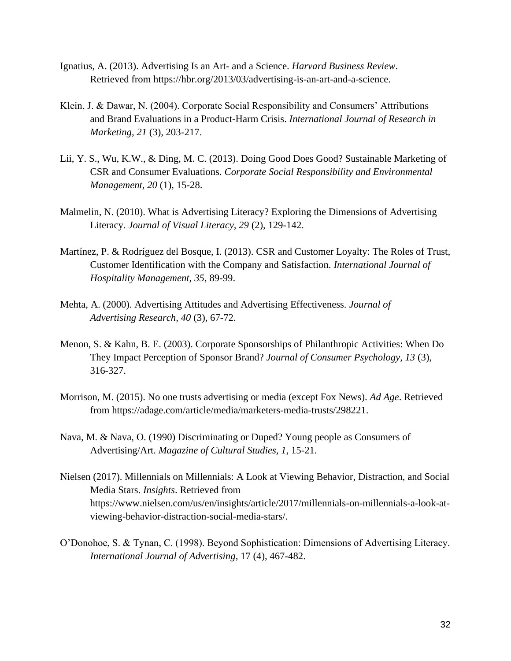- Ignatius, A. (2013). Advertising Is an Art- and a Science. *Harvard Business Review*. Retrieved from https://hbr.org/2013/03/advertising-is-an-art-and-a-science.
- Klein, J. & Dawar, N. (2004). Corporate Social Responsibility and Consumers' Attributions and Brand Evaluations in a Product-Harm Crisis. *International Journal of Research in Marketing*, *21* (3), 203-217.
- Lii, Y. S., Wu, K.W., & Ding, M. C. (2013). Doing Good Does Good? Sustainable Marketing of CSR and Consumer Evaluations. *Corporate Social Responsibility and Environmental Management, 20* (1), 15-28.
- Malmelin, N. (2010). What is Advertising Literacy? Exploring the Dimensions of Advertising Literacy. *Journal of Visual Literacy, 29* (2), 129-142.
- Martínez, P. & Rodríguez del Bosque, I. (2013). CSR and Customer Loyalty: The Roles of Trust, Customer Identification with the Company and Satisfaction. *International Journal of Hospitality Management, 35*, 89-99.
- Mehta, A. (2000). Advertising Attitudes and Advertising Effectiveness. *Journal of Advertising Research, 40* (3), 67-72.
- Menon, S. & Kahn, B. E. (2003). Corporate Sponsorships of Philanthropic Activities: When Do They Impact Perception of Sponsor Brand? *Journal of Consumer Psychology, 13* (3), 316-327.
- Morrison, M. (2015). No one trusts advertising or media (except Fox News). *Ad Age*. Retrieved from [https://adage.com/article/media/marketers-media-trusts/298221.](https://adage.com/article/media/marketers-media-trusts/298221)
- Nava, M. & Nava, O. (1990) Discriminating or Duped? Young people as Consumers of Advertising/Art. *Magazine of Cultural Studies, 1*, 15-21.
- Nielsen (2017). Millennials on Millennials: A Look at Viewing Behavior, Distraction, and Social Media Stars. *Insights*. Retrieved from https://www.nielsen.com/us/en/insights/article/2017/millennials-on-millennials-a-look-atviewing-behavior-distraction-social-media-stars/.
- O'Donohoe, S. & Tynan, C. (1998). Beyond Sophistication: Dimensions of Advertising Literacy. *International Journal of Advertising*, 17 (4), 467-482.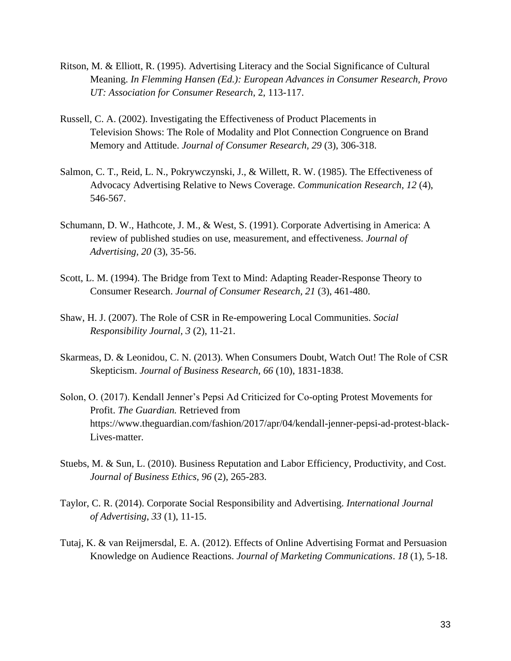- Ritson, M. & Elliott, R. (1995). Advertising Literacy and the Social Significance of Cultural Meaning. *In Flemming Hansen (Ed.): European Advances in Consumer Research, Provo UT: Association for Consumer Research*, 2, 113-117.
- Russell, C. A. (2002). Investigating the Effectiveness of Product Placements in Television Shows: The Role of Modality and Plot Connection Congruence on Brand Memory and Attitude. *Journal of Consumer Research, 29* (3), 306-318.
- Salmon, C. T., Reid, L. N., Pokrywczynski, J., & Willett, R. W. (1985). The Effectiveness of Advocacy Advertising Relative to News Coverage. *Communication Research*, *12* (4), 546-567.
- Schumann, D. W., Hathcote, J. M., & West, S. (1991). Corporate Advertising in America: A review of published studies on use, measurement, and effectiveness. *Journal of Advertising, 20* (3), 35-56.
- Scott, L. M. (1994). The Bridge from Text to Mind: Adapting Reader-Response Theory to Consumer Research. *Journal of Consumer Research, 21* (3), 461-480.
- Shaw, H. J. (2007). The Role of CSR in Re-empowering Local Communities. *Social Responsibility Journal, 3* (2), 11-21.
- Skarmeas, D. & Leonidou, C. N. (2013). When Consumers Doubt, Watch Out! The Role of CSR Skepticism. *Journal of Business Research, 66* (10), 1831-1838.
- Solon, O. (2017). Kendall Jenner's Pepsi Ad Criticized for Co-opting Protest Movements for Profit. *The Guardian.* Retrieved from https://www.theguardian.com/fashion/2017/apr/04/kendall-jenner-pepsi-ad-protest-black-Lives-matter.
- Stuebs, M. & Sun, L. (2010). Business Reputation and Labor Efficiency, Productivity, and Cost. *Journal of Business Ethics, 96* (2), 265-283.
- Taylor, C. R. (2014). Corporate Social Responsibility and Advertising. *International Journal of Advertising*, *33* (1), 11-15.
- Tutaj, K. & van Reijmersdal, E. A. (2012). Effects of Online Advertising Format and Persuasion Knowledge on Audience Reactions. *Journal of Marketing Communications*. *18* (1), 5-18.